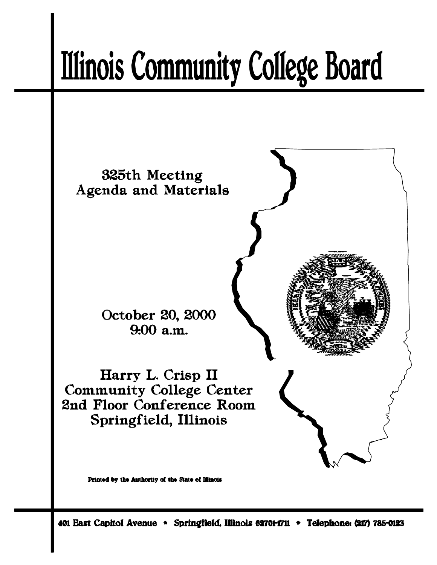# **Illinois Community College Board**

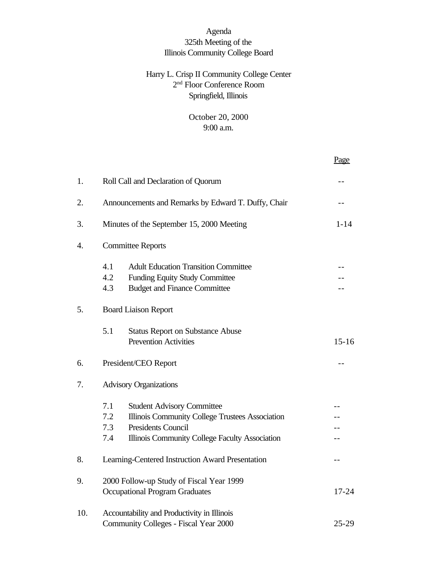# Agenda 325th Meeting of the Illinois Community College Board

# Harry L. Crisp II Community College Center 2 nd Floor Conference Room Springfield, Illinois

October 20, 2000 9:00 a.m.

|     |                                                                                                 |                                                                                                                                                                     | Page      |  |
|-----|-------------------------------------------------------------------------------------------------|---------------------------------------------------------------------------------------------------------------------------------------------------------------------|-----------|--|
| 1.  | Roll Call and Declaration of Quorum                                                             |                                                                                                                                                                     |           |  |
| 2.  | Announcements and Remarks by Edward T. Duffy, Chair                                             |                                                                                                                                                                     |           |  |
| 3.  | Minutes of the September 15, 2000 Meeting<br>$1 - 14$                                           |                                                                                                                                                                     |           |  |
| 4.  | <b>Committee Reports</b>                                                                        |                                                                                                                                                                     |           |  |
|     | 4.1<br>4.2<br>4.3                                                                               | <b>Adult Education Transition Committee</b><br><b>Funding Equity Study Committee</b><br><b>Budget and Finance Committee</b>                                         |           |  |
| 5.  | <b>Board Liaison Report</b>                                                                     |                                                                                                                                                                     |           |  |
|     | 5.1                                                                                             | <b>Status Report on Substance Abuse</b><br><b>Prevention Activities</b>                                                                                             | $15 - 16$ |  |
| 6.  | President/CEO Report                                                                            |                                                                                                                                                                     |           |  |
| 7.  | <b>Advisory Organizations</b>                                                                   |                                                                                                                                                                     |           |  |
|     | 7.1<br>7.2<br>7.3<br>7.4                                                                        | <b>Student Advisory Committee</b><br>Illinois Community College Trustees Association<br><b>Presidents Council</b><br>Illinois Community College Faculty Association |           |  |
| 8.  | Learning-Centered Instruction Award Presentation                                                |                                                                                                                                                                     |           |  |
| 9.  | 2000 Follow-up Study of Fiscal Year 1999<br><b>Occupational Program Graduates</b><br>$17 - 24$  |                                                                                                                                                                     |           |  |
| 10. | Accountability and Productivity in Illinois<br>Community Colleges - Fiscal Year 2000<br>$25-29$ |                                                                                                                                                                     |           |  |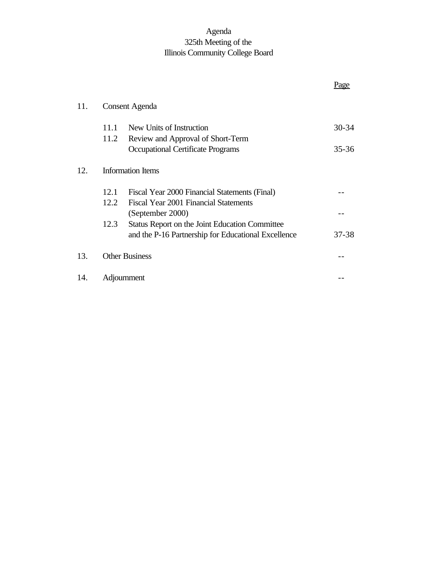# Agenda 325th Meeting of the Illinois Community College Board

|     |                          |                                                       | Page      |
|-----|--------------------------|-------------------------------------------------------|-----------|
| 11. | Consent Agenda           |                                                       |           |
|     | 11.1                     | New Units of Instruction                              | $30 - 34$ |
|     | 11.2                     | Review and Approval of Short-Term                     |           |
|     |                          | <b>Occupational Certificate Programs</b>              | $35 - 36$ |
| 12. | <b>Information Items</b> |                                                       |           |
|     | 12.1                     | Fiscal Year 2000 Financial Statements (Final)         |           |
|     | 12.2                     | Fiscal Year 2001 Financial Statements                 |           |
|     |                          | (September 2000)                                      |           |
|     | 12.3                     | <b>Status Report on the Joint Education Committee</b> |           |
|     |                          | and the P-16 Partnership for Educational Excellence   | $37 - 38$ |
| 13. | <b>Other Business</b>    |                                                       |           |
| 14. | Adjournment              |                                                       |           |
|     |                          |                                                       |           |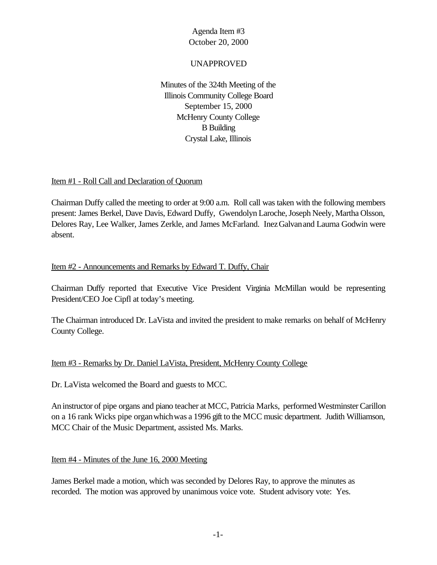## UNAPPROVED

Minutes of the 324th Meeting of the Illinois Community College Board September 15, 2000 McHenry County College B Building Crystal Lake, Illinois

#### Item #1 - Roll Call and Declaration of Quorum

Chairman Duffy called the meeting to order at 9:00 a.m. Roll call was taken with the following members present: James Berkel, Dave Davis, Edward Duffy, Gwendolyn Laroche, Joseph Neely, Martha Olsson, Delores Ray, Lee Walker, James Zerkle, and James McFarland. InezGalvanand Laurna Godwin were absent.

## Item #2 - Announcements and Remarks by Edward T. Duffy, Chair

Chairman Duffy reported that Executive Vice President Virginia McMillan would be representing President/CEO Joe Cipfl at today's meeting.

The Chairman introduced Dr. LaVista and invited the president to make remarks on behalf of McHenry County College.

## Item #3 - Remarks by Dr. Daniel LaVista, President, McHenry County College

Dr. LaVista welcomed the Board and guests to MCC.

An instructor of pipe organs and piano teacher at MCC, Patricia Marks, performed Westminster Carillon on a 16 rank Wicks pipe organwhichwas a 1996 gift to the MCC music department. Judith Williamson, MCC Chair of the Music Department, assisted Ms. Marks.

#### Item #4 - Minutes of the June 16, 2000 Meeting

James Berkel made a motion, which was seconded by Delores Ray, to approve the minutes as recorded. The motion was approved by unanimous voice vote. Student advisory vote: Yes.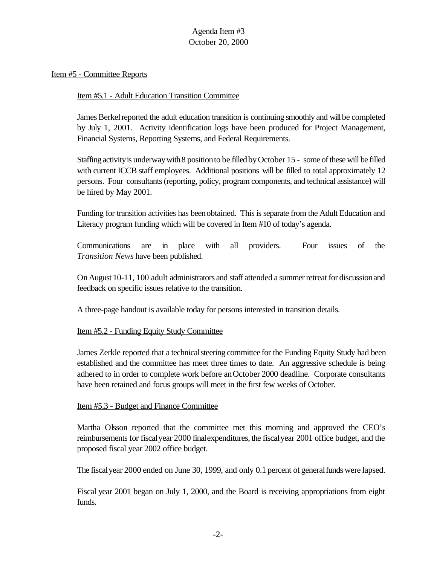#### Item #5 - Committee Reports

#### Item #5.1 - Adult Education Transition Committee

James Berkel reported the adult education transition is continuing smoothly and will be completed by July 1, 2001. Activity identification logs have been produced for Project Management, Financial Systems, Reporting Systems, and Federal Requirements.

Staffing activity is underway with 8 position to be filled by October 15 - some of these will be filled with current ICCB staff employees. Additional positions will be filled to total approximately 12 persons. Four consultants (reporting, policy, program components, and technical assistance) will be hired by May 2001.

Funding for transition activities has beenobtained. This is separate from the Adult Education and Literacy program funding which will be covered in Item #10 of today's agenda.

Communications are in place with all providers. Four issues of the *Transition News* have been published.

On August 10-11, 100 adult administrators and staff attended a summer retreat for discussion and feedback on specific issues relative to the transition.

A three-page handout is available today for persons interested in transition details.

## Item #5.2 - Funding Equity Study Committee

James Zerkle reported that a technical steering committee for the Funding Equity Study had been established and the committee has meet three times to date. An aggressive schedule is being adhered to in order to complete work before anOctober 2000 deadline. Corporate consultants have been retained and focus groups will meet in the first few weeks of October.

#### Item #5.3 - Budget and Finance Committee

Martha Olsson reported that the committee met this morning and approved the CEO's reimbursements for fiscalyear 2000 finalexpenditures, the fiscalyear 2001 office budget, and the proposed fiscal year 2002 office budget.

The fiscal year 2000 ended on June 30, 1999, and only 0.1 percent of general funds were lapsed.

Fiscal year 2001 began on July 1, 2000, and the Board is receiving appropriations from eight funds.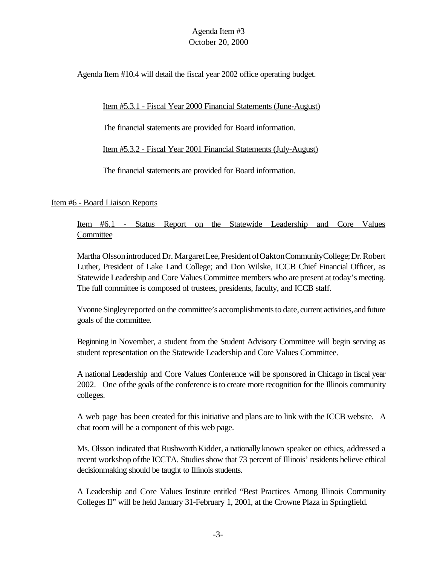Agenda Item #10.4 will detail the fiscal year 2002 office operating budget.

## Item #5.3.1 - Fiscal Year 2000 Financial Statements (June-August)

The financial statements are provided for Board information.

Item #5.3.2 - Fiscal Year 2001 Financial Statements (July-August)

The financial statements are provided for Board information.

## Item #6 - Board Liaison Reports

Item #6.1 - Status Report on the Statewide Leadership and Core Values **Committee** 

Martha Olssonintroduced Dr. MargaretLee,President ofOaktonCommunityCollege;Dr.Robert Luther, President of Lake Land College; and Don Wilske, ICCB Chief Financial Officer, as Statewide Leadership and Core Values Committee members who are present at today's meeting. The full committee is composed of trustees, presidents, faculty, and ICCB staff.

Yvonne Singley reported on the committee's accomplishments to date, current activities, and future goals of the committee.

Beginning in November, a student from the Student Advisory Committee will begin serving as student representation on the Statewide Leadership and Core Values Committee.

A national Leadership and Core Values Conference will be sponsored in Chicago in fiscal year 2002. One of the goals of the conference is to create more recognition for the Illinois community colleges.

A web page has been created for this initiative and plans are to link with the ICCB website. A chat room will be a component of this web page.

Ms. Olsson indicated that Rushworth Kidder, a nationally known speaker on ethics, addressed a recent workshop of the ICCTA. Studies show that 73 percent of Illinois' residents believe ethical decisionmaking should be taught to Illinois students.

A Leadership and Core Values Institute entitled "Best Practices Among Illinois Community Colleges II" will be held January 31-February 1, 2001, at the Crowne Plaza in Springfield.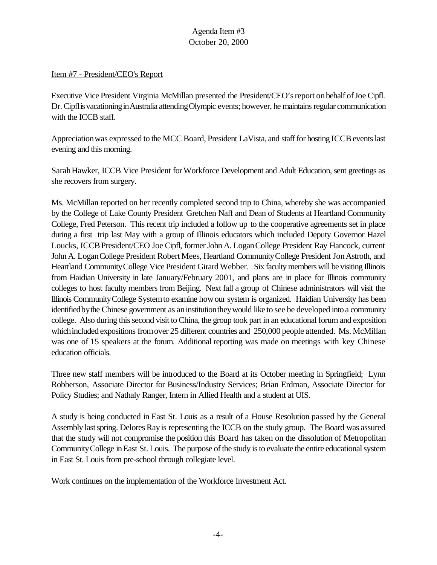#### Item #7 - President/CEO's Report

Executive Vice President Virginia McMillan presented the President/CEO'sreport onbehalf ofJoe Cipfl. Dr. Cipfl is vacationing in Australia attending Olympic events; however, he maintains regular communication with the ICCB staff.

Appreciation was expressed to the MCC Board, President LaVista, and staff for hosting ICCB events last evening and this morning.

Sarah Hawker, ICCB Vice President for Workforce Development and Adult Education, sent greetings as she recovers from surgery.

Ms. McMillan reported on her recently completed second trip to China, whereby she was accompanied by the College of Lake County President Gretchen Naff and Dean of Students at Heartland Community College, Fred Peterson. This recent trip included a follow up to the cooperative agreements set in place during a first trip last May with a group of Illinois educators which included Deputy Governor Hazel Loucks, ICCB President/CEO Joe Cipfl, former John A. Logan College President Ray Hancock, current John A. LoganCollege President Robert Mees, Heartland CommunityCollege President JonAstroth, and Heartland CommunityCollege Vice President Girard Webber. Six faculty members will be visiting Illinois from Haidian University in late January/February 2001, and plans are in place for Illinois community colleges to host faculty members from Beijing. Next fall a group of Chinese administrators will visit the Illinois CommunityCollege Systemto examine howour system is organized. Haidian University has been identified by the Chinese government as an institution they would like to see be developed into a community college. Also during this second visit to China, the group took part in an educational forum and exposition which included expositions from over 25 different countries and 250,000 people attended. Ms. McMillan was one of 15 speakers at the forum. Additional reporting was made on meetings with key Chinese education officials.

Three new staff members will be introduced to the Board at its October meeting in Springfield; Lynn Robberson, Associate Director for Business/Industry Services; Brian Erdman, Associate Director for Policy Studies; and Nathaly Ranger, Intern in Allied Health and a student at UIS.

A study is being conducted in East St. Louis as a result of a House Resolution passed by the General Assembly last spring. Delores Ray is representing the ICCB on the study group. The Board was assured that the study will not compromise the position this Board has taken on the dissolution of Metropolitan CommunityCollege inEast St. Louis. The purpose of the study is to evaluate the entire educational system in East St. Louis from pre-school through collegiate level.

Work continues on the implementation of the Workforce Investment Act.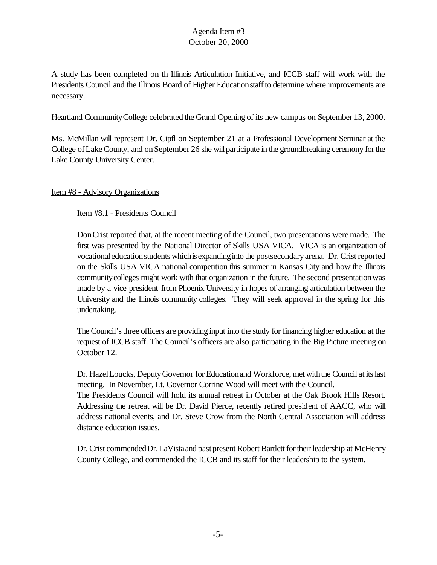A study has been completed on th Illinois Articulation Initiative, and ICCB staff will work with the Presidents Council and the Illinois Board of Higher Educationstaffto determine where improvements are necessary.

Heartland CommunityCollege celebrated the Grand Opening of its new campus on September 13, 2000.

Ms. McMillan will represent Dr. Cipfl on September 21 at a Professional Development Seminar at the College of Lake County, and on September 26 she will participate in the groundbreaking ceremony for the Lake County University Center.

## Item #8 - Advisory Organizations

#### Item #8.1 - Presidents Council

DonCrist reported that, at the recent meeting of the Council, two presentations were made. The first was presented by the National Director of Skills USA VICA. VICA is an organization of vocationaleducationstudents whichisexpandinginto the postsecondaryarena. Dr. Crist reported on the Skills USA VICA national competition this summer in Kansas City and how the Illinois communitycolleges might work with that organization in the future. The second presentationwas made by a vice president from Phoenix University in hopes of arranging articulation between the University and the Illinois community colleges. They will seek approval in the spring for this undertaking.

The Council'sthree officers are providing input into the study for financing higher education at the request of ICCB staff. The Council's officers are also participating in the Big Picture meeting on October 12.

Dr. HazelLoucks, DeputyGovernor for Educationand Workforce, met withthe Council at itslast meeting. In November, Lt. Governor Corrine Wood will meet with the Council.

The Presidents Council will hold its annual retreat in October at the Oak Brook Hills Resort. Addressing the retreat will be Dr. David Pierce, recently retired president of AACC, who will address national events, and Dr. Steve Crow from the North Central Association will address distance education issues.

Dr. Crist commended Dr. LaVista and past present Robert Bartlett for their leadership at McHenry County College, and commended the ICCB and its staff for their leadership to the system.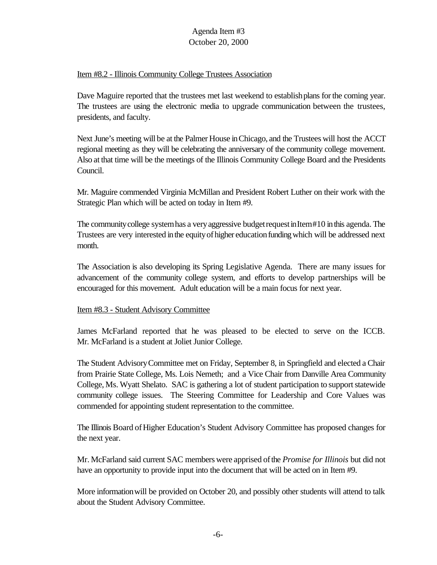#### Item #8.2 - Illinois Community College Trustees Association

Dave Maguire reported that the trustees met last weekend to establishplans forthe coming year. The trustees are using the electronic media to upgrade communication between the trustees, presidents, and faculty.

Next June's meeting will be at the Palmer House inChicago, and the Trustees will host the ACCT regional meeting as they will be celebrating the anniversary of the community college movement. Also at that time will be the meetings of the Illinois Community College Board and the Presidents Council.

Mr. Maguire commended Virginia McMillan and President Robert Luther on their work with the Strategic Plan which will be acted on today in Item #9.

The communitycollege systemhas a veryaggressive budgetrequestinItem#10 inthis agenda. The Trustees are very interested in the equity of higher education funding which will be addressed next month.

The Association is also developing its Spring Legislative Agenda. There are many issues for advancement of the community college system, and efforts to develop partnerships will be encouraged for this movement. Adult education will be a main focus for next year.

## Item #8.3 - Student Advisory Committee

James McFarland reported that he was pleased to be elected to serve on the ICCB. Mr. McFarland is a student at Joliet Junior College.

The Student AdvisoryCommittee met on Friday, September 8, in Springfield and elected a Chair from Prairie State College, Ms. Lois Nemeth; and a Vice Chair from Danville Area Community College, Ms. Wyatt Shelato. SAC is gathering a lot of student participation to support statewide community college issues. The Steering Committee for Leadership and Core Values was commended for appointing student representation to the committee.

The Illinois Board ofHigher Education's Student Advisory Committee has proposed changes for the next year.

Mr. McFarland said current SAC members were apprised ofthe *Promise for Illinois* but did not have an opportunity to provide input into the document that will be acted on in Item #9.

More informationwill be provided on October 20, and possibly other students will attend to talk about the Student Advisory Committee.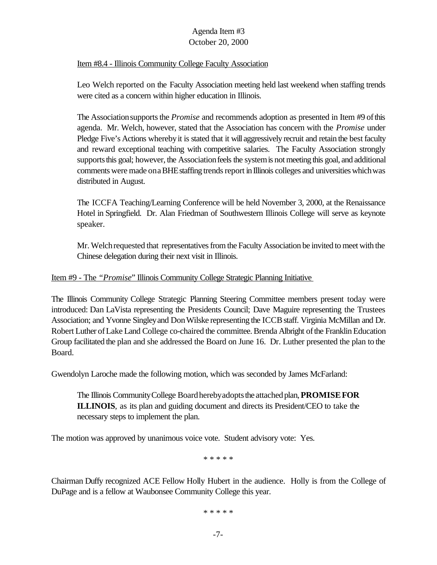#### Item #8.4 - Illinois Community College Faculty Association

Leo Welch reported on the Faculty Association meeting held last weekend when staffing trends were cited as a concern within higher education in Illinois.

The Association supports the *Promise* and recommends adoption as presented in Item #9 of this agenda. Mr. Welch, however, stated that the Association has concern with the *Promise* under Pledge Five's Actions wherebyit is stated that it will aggressively recruit and retain the best faculty and reward exceptional teaching with competitive salaries. The Faculty Association strongly supports this goal; however, the Association feels the system is not meeting this goal, and additional comments were made on a BHE staffing trends report in Illinois colleges and universities which was distributed in August.

The ICCFA Teaching/Learning Conference will be held November 3, 2000, at the Renaissance Hotel in Springfield. Dr. Alan Friedman of Southwestern Illinois College will serve as keynote speaker.

Mr. Welchrequested that representatives from the Faculty Association be invited to meet with the Chinese delegation during their next visit in Illinois.

#### Item #9 - The *"Promise*" Illinois Community College Strategic Planning Initiative

The Illinois Community College Strategic Planning Steering Committee members present today were introduced: Dan LaVista representing the Presidents Council; Dave Maguire representing the Trustees Association; and Yvonne Singley and Don Wilske representing the ICCB staff. Virginia McMillan and Dr. Robert Luther of Lake Land College co-chaired the committee. Brenda Albright of the Franklin Education Group facilitated the plan and she addressed the Board on June 16. Dr. Luther presented the plan to the Board.

Gwendolyn Laroche made the following motion, which was seconded by James McFarland:

The Illinois CommunityCollege Boardherebyadoptsthe attachedplan,**PROMISEFOR ILLINOIS**, as its plan and guiding document and directs its President/CEO to take the necessary steps to implement the plan.

The motion was approved by unanimous voice vote. Student advisory vote: Yes.

\* \* \* \* \*

Chairman Duffy recognized ACE Fellow Holly Hubert in the audience. Holly is from the College of DuPage and is a fellow at Waubonsee Community College this year.

\* \* \* \* \*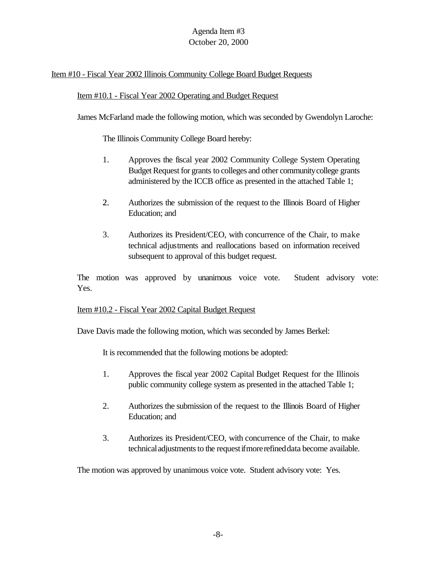## Item #10 - Fiscal Year 2002 Illinois Community College Board Budget Requests

#### Item #10.1 - Fiscal Year 2002 Operating and Budget Request

James McFarland made the following motion, which was seconded by Gwendolyn Laroche:

The Illinois Community College Board hereby:

- 1. Approves the fiscal year 2002 Community College System Operating Budget Request for grants to colleges and other community college grants administered by the ICCB office as presented in the attached Table 1;
- 2. Authorizes the submission of the request to the Illinois Board of Higher Education; and
- 3. Authorizes its President/CEO, with concurrence of the Chair, to make technical adjustments and reallocations based on information received subsequent to approval of this budget request.

The motion was approved by unanimous voice vote. Student advisory vote: Yes.

#### Item #10.2 - Fiscal Year 2002 Capital Budget Request

Dave Davis made the following motion, which was seconded by James Berkel:

It is recommended that the following motions be adopted:

- 1. Approves the fiscal year 2002 Capital Budget Request for the Illinois public community college system as presented in the attached Table 1;
- 2. Authorizes the submission of the request to the Illinois Board of Higher Education; and
- 3. Authorizes its President/CEO, with concurrence of the Chair, to make technical adjustments to the request if more refined data become available.

The motion was approved by unanimous voice vote. Student advisory vote: Yes.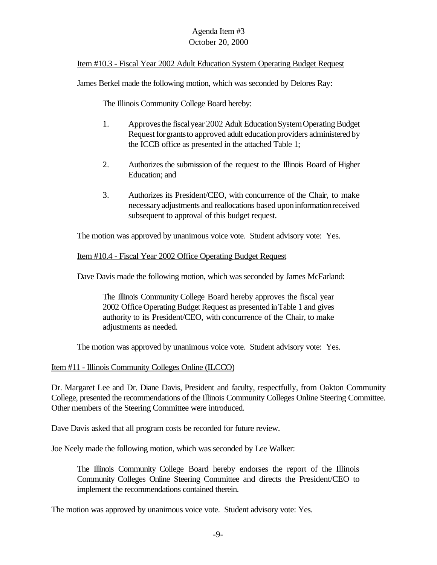#### Item #10.3 - Fiscal Year 2002 Adult Education System Operating Budget Request

James Berkel made the following motion, which was seconded by Delores Ray:

The Illinois Community College Board hereby:

- 1. Approves the fiscal year 2002 Adult Education System Operating Budget Request for grants to approved adult education providers administered by the ICCB office as presented in the attached Table 1;
- 2. Authorizes the submission of the request to the Illinois Board of Higher Education; and
- 3. Authorizes its President/CEO, with concurrence of the Chair, to make necessaryadjustments and reallocations based uponinformationreceived subsequent to approval of this budget request.

The motion was approved by unanimous voice vote. Student advisory vote: Yes.

#### Item #10.4 - Fiscal Year 2002 Office Operating Budget Request

Dave Davis made the following motion, which was seconded by James McFarland:

The Illinois Community College Board hereby approves the fiscal year 2002 Office Operating Budget Request as presented in Table 1 and gives authority to its President/CEO, with concurrence of the Chair, to make adjustments as needed.

The motion was approved by unanimous voice vote. Student advisory vote: Yes.

#### Item #11 - Illinois Community Colleges Online (ILCCO)

Dr. Margaret Lee and Dr. Diane Davis, President and faculty, respectfully, from Oakton Community College, presented the recommendations of the Illinois Community Colleges Online Steering Committee. Other members of the Steering Committee were introduced.

Dave Davis asked that all program costs be recorded for future review.

Joe Neely made the following motion, which was seconded by Lee Walker:

The Illinois Community College Board hereby endorses the report of the Illinois Community Colleges Online Steering Committee and directs the President/CEO to implement the recommendations contained therein.

The motion was approved by unanimous voice vote. Student advisory vote: Yes.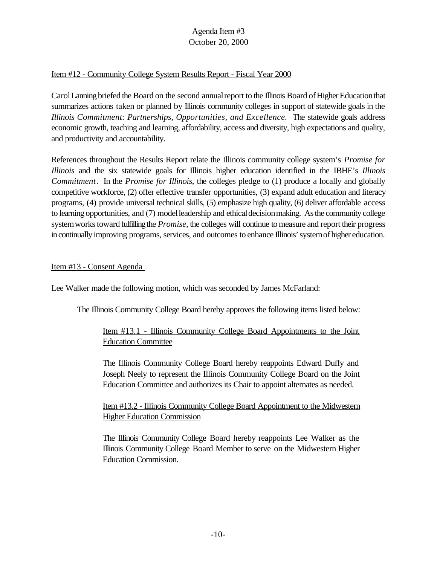#### Item #12 - Community College System Results Report - Fiscal Year 2000

Carol Lanning briefed the Board on the second annual report to the Illinois Board of Higher Education that summarizes actions taken or planned by Illinois community colleges in support of statewide goals in the *Illinois Commitment: Partnerships, Opportunities, and Excellence.* The statewide goals address economic growth, teaching and learning, affordability, access and diversity, high expectations and quality, and productivity and accountability.

References throughout the Results Report relate the Illinois community college system's *Promise for Illinois* and the six statewide goals for Illinois higher education identified in the IBHE's *Illinois Commitment*. In the *Promise for Illinois*, the colleges pledge to (1) produce a locally and globally competitive workforce, (2) offer effective transfer opportunities, (3) expand adult education and literacy programs, (4) provide universal technical skills, (5) emphasize high quality, (6) deliver affordable access to learning opportunities, and (7) model leadership and ethical decision making. As the community college system works toward fulfilling the *Promise*, the colleges will continue to measure and report their progress in continually improving programs, services, and outcomes to enhance Illinois' system of higher education.

#### Item #13 - Consent Agenda

Lee Walker made the following motion, which was seconded by James McFarland:

The Illinois Community College Board hereby approves the following items listed below:

## Item #13.1 - Illinois Community College Board Appointments to the Joint Education Committee

The Illinois Community College Board hereby reappoints Edward Duffy and Joseph Neely to represent the Illinois Community College Board on the Joint Education Committee and authorizes its Chair to appoint alternates as needed.

## Item #13.2 - Illinois Community College Board Appointment to the Midwestern Higher Education Commission

The Illinois Community College Board hereby reappoints Lee Walker as the Illinois Community College Board Member to serve on the Midwestern Higher Education Commission.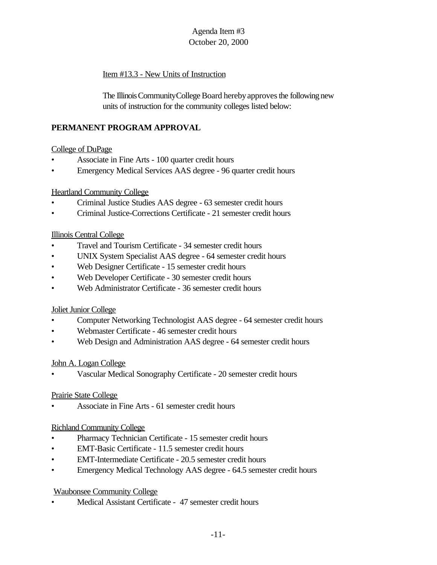# Item #13.3 - New Units of Instruction

The Illinois Community College Board hereby approves the following new units of instruction for the community colleges listed below:

# **PERMANENT PROGRAM APPROVAL**

## College of DuPage

- Associate in Fine Arts 100 quarter credit hours
- Emergency Medical Services AAS degree 96 quarter credit hours

## Heartland Community College

- Criminal Justice Studies AAS degree 63 semester credit hours
- Criminal Justice-Corrections Certificate 21 semester credit hours

## Illinois Central College

- Travel and Tourism Certificate 34 semester credit hours
- UNIX System Specialist AAS degree 64 semester credit hours
- Web Designer Certificate 15 semester credit hours
- Web Developer Certificate 30 semester credit hours
- Web Administrator Certificate 36 semester credit hours

## Joliet Junior College

- Computer Networking Technologist AAS degree 64 semester credit hours
- Webmaster Certificate 46 semester credit hours
- Web Design and Administration AAS degree 64 semester credit hours

## John A. Logan College

• Vascular Medical Sonography Certificate - 20 semester credit hours

## Prairie State College

• Associate in Fine Arts - 61 semester credit hours

# Richland Community College

- Pharmacy Technician Certificate 15 semester credit hours
- EMT-Basic Certificate 11.5 semester credit hours
- EMT-Intermediate Certificate 20.5 semester credit hours
- Emergency Medical Technology AAS degree 64.5 semester credit hours

# Waubonsee Community College

• Medical Assistant Certificate - 47 semester credit hours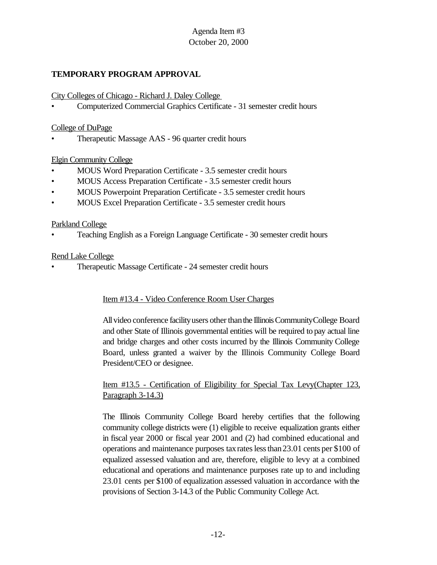# **TEMPORARY PROGRAM APPROVAL**

City Colleges of Chicago - Richard J. Daley College

• Computerized Commercial Graphics Certificate - 31 semester credit hours

#### College of DuPage

• Therapeutic Massage AAS - 96 quarter credit hours

#### Elgin Community College

- MOUS Word Preparation Certificate 3.5 semester credit hours
- MOUS Access Preparation Certificate 3.5 semester credit hours
- MOUS Powerpoint Preparation Certificate 3.5 semester credit hours
- MOUS Excel Preparation Certificate 3.5 semester credit hours

#### Parkland College

• Teaching English as a Foreign Language Certificate - 30 semester credit hours

#### Rend Lake College

• Therapeutic Massage Certificate - 24 semester credit hours

## Item #13.4 - Video Conference Room User Charges

All video conference facility users other than the Illinois Community College Board and other State of Illinois governmental entities will be required to pay actual line and bridge charges and other costs incurred by the Illinois Community College Board, unless granted a waiver by the Illinois Community College Board President/CEO or designee.

## Item #13.5 - Certification of Eligibility for Special Tax Levy(Chapter 123, Paragraph 3-14.3)

The Illinois Community College Board hereby certifies that the following community college districts were (1) eligible to receive equalization grants either in fiscal year 2000 or fiscal year 2001 and (2) had combined educational and operations and maintenance purposes taxrateslessthan23.01 cents per \$100 of equalized assessed valuation and are, therefore, eligible to levy at a combined educational and operations and maintenance purposes rate up to and including 23.01 cents per \$100 of equalization assessed valuation in accordance with the provisions of Section 3-14.3 of the Public Community College Act.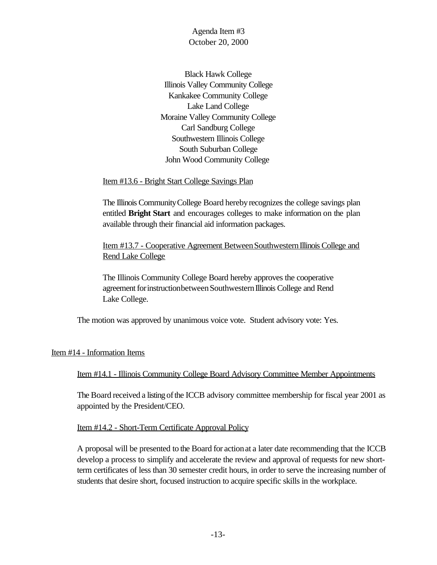Black Hawk College Illinois Valley Community College Kankakee Community College Lake Land College Moraine Valley Community College Carl Sandburg College Southwestern Illinois College South Suburban College John Wood Community College

Item #13.6 - Bright Start College Savings Plan

The Illinois Community College Board hereby recognizes the college savings plan entitled **Bright Start** and encourages colleges to make information on the plan available through their financial aid information packages.

Item #13.7 - Cooperative Agreement Between Southwestern Illinois College and Rend Lake College

The Illinois Community College Board hereby approves the cooperative agreement for instructionbetween Southwestern Illinois College and Rend Lake College.

The motion was approved by unanimous voice vote. Student advisory vote: Yes.

#### Item #14 - Information Items

#### Item #14.1 - Illinois Community College Board Advisory Committee Member Appointments

The Board received a listing of the ICCB advisory committee membership for fiscal year 2001 as appointed by the President/CEO.

Item #14.2 - Short-Term Certificate Approval Policy

A proposal will be presented to the Board for actionat a later date recommending that the ICCB develop a process to simplify and accelerate the review and approval of requests for new shortterm certificates of less than 30 semester credit hours, in order to serve the increasing number of students that desire short, focused instruction to acquire specific skills in the workplace.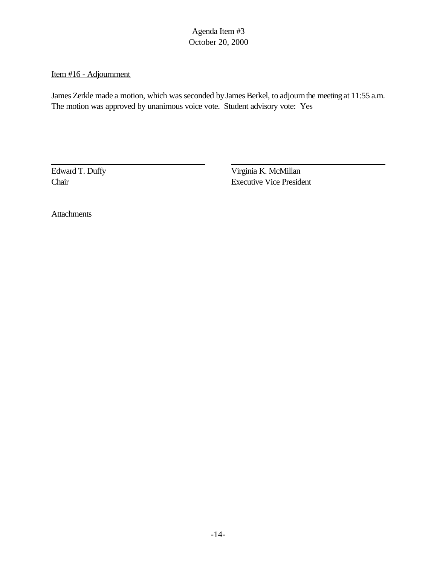# Item #16 - Adjournment

James Zerkle made a motion, which was seconded by James Berkel, to adjourn the meeting at 11:55 a.m. The motion was approved by unanimous voice vote. Student advisory vote: Yes

Edward T. Duffy Virginia K. McMillan Chair Executive Vice President

Attachments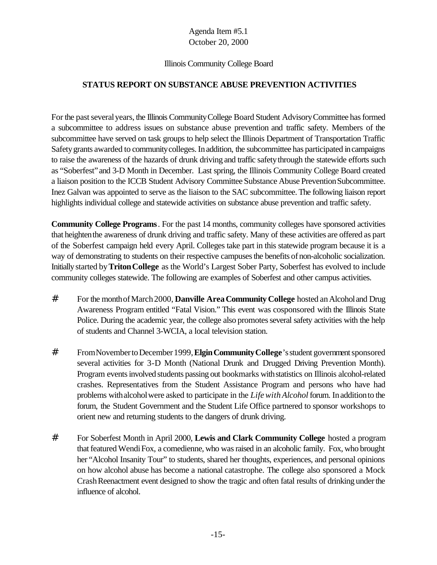#### Illinois Community College Board

## **STATUS REPORT ON SUBSTANCE ABUSE PREVENTION ACTIVITIES**

For the past several years, the Illinois Community College Board Student Advisory Committee has formed a subcommittee to address issues on substance abuse prevention and traffic safety. Members of the subcommittee have served on task groups to help select the Illinois Department of Transportation Traffic Safety grants awarded to community colleges. In addition, the subcommittee has participated in campaigns to raise the awareness of the hazards of drunk driving and traffic safety through the statewide efforts such as "Soberfest"and 3-D Month in December. Last spring, the Illinois Community College Board created a liaison position to the ICCB Student Advisory Committee Substance Abuse PreventionSubcommittee. Inez Galvan was appointed to serve as the liaison to the SAC subcommittee. The following liaison report highlights individual college and statewide activities on substance abuse prevention and traffic safety.

**Community College Programs**. For the past 14 months, community colleges have sponsored activities that heightenthe awareness of drunk driving and traffic safety. Many of these activities are offered as part of the Soberfest campaign held every April. Colleges take part in this statewide program because it is a way of demonstrating to students on their respective campuses the benefits of non-alcoholic socialization. Initially started by**TritonCollege** as the World's Largest Sober Party, Soberfest has evolved to include community colleges statewide. The following are examples of Soberfest and other campus activities.

- # For the monthofMarch2000, **Danville AreaCommunity College** hosted anAlcoholand Drug Awareness Program entitled "Fatal Vision." This event was cosponsored with the Illinois State Police. During the academic year, the college also promotes several safety activities with the help of students and Channel 3-WCIA, a local television station.
- # FromNovembertoDecember1999,**ElginCommunityCollege**'sstudent governmentsponsored several activities for 3-D Month (National Drunk and Drugged Driving Prevention Month). Program events involved students passing out bookmarks with statistics on Illinois alcohol-related crashes. Representatives from the Student Assistance Program and persons who have had problems with alcohol were asked to participate in the *Life with Alcohol* forum. In addition to the forum, the Student Government and the Student Life Office partnered to sponsor workshops to orient new and returning students to the dangers of drunk driving.
- # For Soberfest Month in April 2000, **Lewis and Clark Community College** hosted a program that featured WendiFox, a comedienne, who was raised in an alcoholic family. Fox, who brought her "Alcohol Insanity Tour" to students, shared her thoughts, experiences, and personal opinions on how alcohol abuse has become a national catastrophe. The college also sponsored a Mock Crash Reenactment event designed to show the tragic and often fatal results of drinking under the influence of alcohol.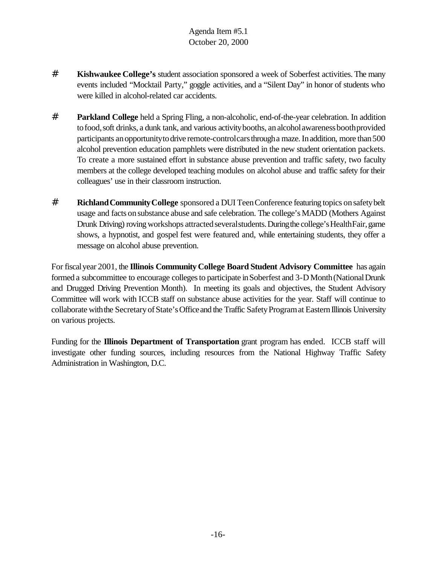- # **Kishwaukee College's** student association sponsored a week of Soberfest activities. The many events included "Mocktail Party," goggle activities, and a "Silent Day" in honor of students who were killed in alcohol-related car accidents.
- # **Parkland College** held a Spring Fling, a non-alcoholic, end-of-the-year celebration. In addition to food, soft drinks, a dunk tank, and various activity booths, an alcoholawareness booth provided participants an opportunity to drive remote-control cars through a maze. In addition, more than 500 alcohol prevention education pamphlets were distributed in the new student orientation packets. To create a more sustained effort in substance abuse prevention and traffic safety, two faculty members at the college developed teaching modules on alcohol abuse and traffic safety for their colleagues' use in their classroom instruction.
- # **RichlandCommunityCollege** sponsored a DUI TeenConference featuring topics onsafetybelt usage and facts onsubstance abuse and safe celebration. The college's MADD (Mothers Against Drunk Driving) roving workshops attracted several students. During the college's Health Fair, game shows, a hypnotist, and gospel fest were featured and, while entertaining students, they offer a message on alcohol abuse prevention.

For fiscalyear 2001, the **Illinois Community College Board Student Advisory Committee** has again formed a subcommittee to encourage colleges to participate in Soberfest and 3-D Month (National Drunk and Drugged Driving Prevention Month). In meeting its goals and objectives, the Student Advisory Committee will work with ICCB staff on substance abuse activities for the year. Staff will continue to collaborate with the Secretary of State's Office and the Traffic Safety Program at Eastern Illinois University on various projects.

Funding for the **Illinois Department of Transportation** grant program has ended. ICCB staff will investigate other funding sources, including resources from the National Highway Traffic Safety Administration in Washington, D.C.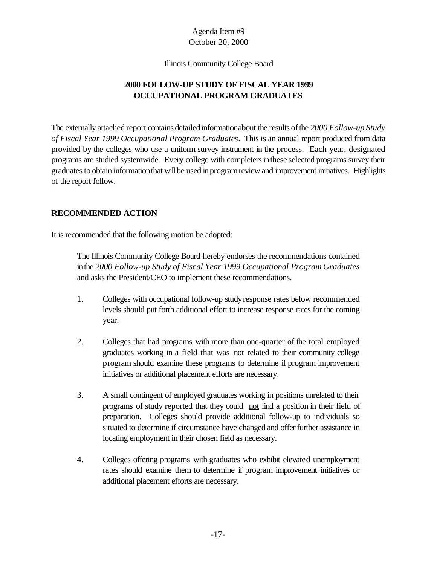Illinois Community College Board

# **2000 FOLLOW-UP STUDY OF FISCAL YEAR 1999 OCCUPATIONAL PROGRAM GRADUATES**

The externally attached report contains detailedinformationabout the results ofthe *2000 Follow-up Study of Fiscal Year 1999 Occupational Program Graduates*. This is an annual report produced from data provided by the colleges who use a uniform survey instrument in the process. Each year, designated programs are studied systemwide. Every college with completers in these selected programs survey their graduates to obtain information that will be used in program review and improvement initiatives. Highlights of the report follow.

## **RECOMMENDED ACTION**

It is recommended that the following motion be adopted:

The Illinois Community College Board hereby endorses the recommendations contained inthe *2000 Follow-up Study of Fiscal Year 1999 Occupational Program Graduates* and asks the President/CEO to implement these recommendations.

- 1. Colleges with occupational follow-up studyresponse rates below recommended levels should put forth additional effort to increase response rates for the coming year.
- 2. Colleges that had programs with more than one-quarter of the total employed graduates working in a field that was not related to their community college program should examine these programs to determine if program improvement initiatives or additional placement efforts are necessary.
- 3. A small contingent of employed graduates working in positions unrelated to their programs of study reported that they could not find a position in their field of preparation. Colleges should provide additional follow-up to individuals so situated to determine if circumstance have changed and offer further assistance in locating employment in their chosen field as necessary.
- 4. Colleges offering programs with graduates who exhibit elevated unemployment rates should examine them to determine if program improvement initiatives or additional placement efforts are necessary.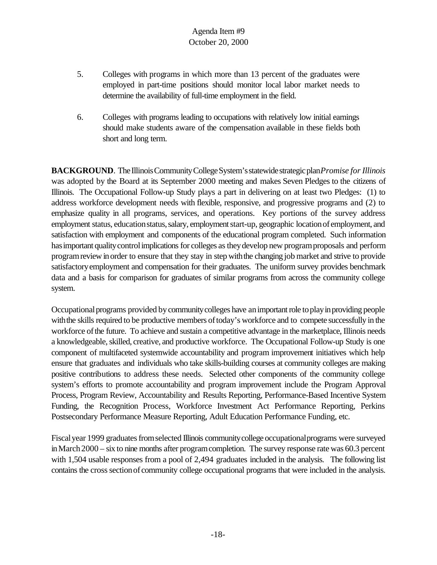- 5. Colleges with programs in which more than 13 percent of the graduates were employed in part-time positions should monitor local labor market needs to determine the availability of full-time employment in the field.
- 6. Colleges with programs leading to occupations with relatively low initial earnings should make students aware of the compensation available in these fields both short and long term.

**BACKGROUND**. The Illinois Community College System's statewide strategic plan *Promise for Illinois* was adopted by the Board at its September 2000 meeting and makes Seven Pledges to the citizens of Illinois. The Occupational Follow-up Study plays a part in delivering on at least two Pledges: (1) to address workforce development needs with flexible, responsive, and progressive programs and (2) to emphasize quality in all programs, services, and operations. Key portions of the survey address employment status, education status, salary, employment start-up, geographic location of employment, and satisfaction with employment and components of the educational program completed. Such information hasimportant qualitycontrolimplications for colleges astheydevelop new programproposals and perform programreview inorder to ensure that they stay in step withthe changing job market and strive to provide satisfactoryemployment and compensation for their graduates. The uniform survey provides benchmark data and a basis for comparison for graduates of similar programs from across the community college system.

Occupational programs provided by community colleges have an important role to play in providing people with the skills required to be productive members of today's workforce and to compete successfully in the workforce ofthe future. To achieve and sustain a competitive advantage in the marketplace, Illinois needs a knowledgeable, skilled, creative, and productive workforce. The Occupational Follow-up Study is one component of multifaceted systemwide accountability and program improvement initiatives which help ensure that graduates and individuals who take skills-building courses at community colleges are making positive contributions to address these needs. Selected other components of the community college system's efforts to promote accountability and program improvement include the Program Approval Process, Program Review, Accountability and Results Reporting, Performance-Based Incentive System Funding, the Recognition Process, Workforce Investment Act Performance Reporting, Perkins Postsecondary Performance Measure Reporting, Adult Education Performance Funding, etc.

Fiscal year 1999 graduates from selected Illinois community college occupational programs were surveyed in March 2000 – six to nine months after program completion. The survey response rate was 60.3 percent with 1,504 usable responses from a pool of 2,494 graduates included in the analysis. The following list contains the cross section of community college occupational programs that were included in the analysis.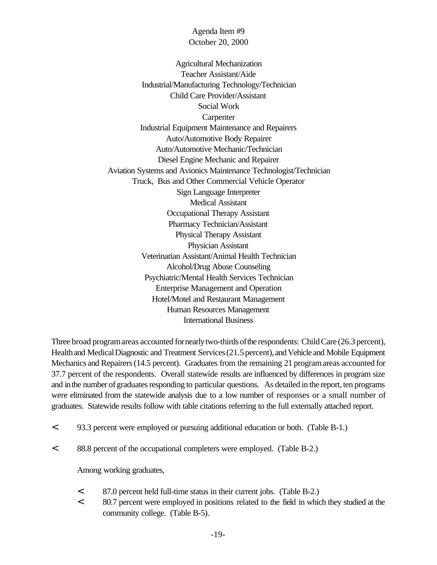Agricultural Mechanization Teacher Assistant/Aide Industrial/Manufacturing Technology/Technician Child Care Provider/Assistant Social Work Carpenter Industrial Equipment Maintenance and Repairers Auto/Automotive Body Repairer Auto/Automotive Mechanic/Technician Diesel Engine Mechanic and Repairer Aviation Systems and Avionics Maintenance Technologist/Technician Truck, Bus and Other Commercial Vehicle Operator Sign Language Interpreter Medical Assistant Occupational Therapy Assistant Pharmacy Technician/Assistant Physical Therapy Assistant Physician Assistant Veterinarian Assistant/Animal Health Technician Alcohol/Drug Abuse Counseling Psychiatric/Mental Health Services Technician Enterprise Management and Operation Hotel/Motel and Restaurant Management Human Resources Management International Business

Three broad programareas accounted fornearlytwo-thirdsofthe respondents: Child Care (26.3 percent), Health and Medical Diagnostic and Treatment Services (21.5 percent), and Vehicle and Mobile Equipment Mechanics and Repairers (14.5 percent). Graduates from the remaining 21 program areas accounted for 37.7 percent of the respondents. Overall statewide results are influenced by differences in program size and in the number of graduates responding to particular questions. As detailed in the report, ten programs were eliminated from the statewide analysis due to a low number of responses or a small number of graduates. Statewide results follow with table citations referring to the full externally attached report.

- < 93.3 percent were employed or pursuing additional education or both. (Table B-1.)
- < 88.8 percent of the occupational completers were employed. (Table B-2.)

Among working graduates,

- < 87.0 percent held full-time status in their current jobs. (Table B-2.)
- < 80.7 percent were employed in positions related to the field in which they studied at the community college. (Table B-5).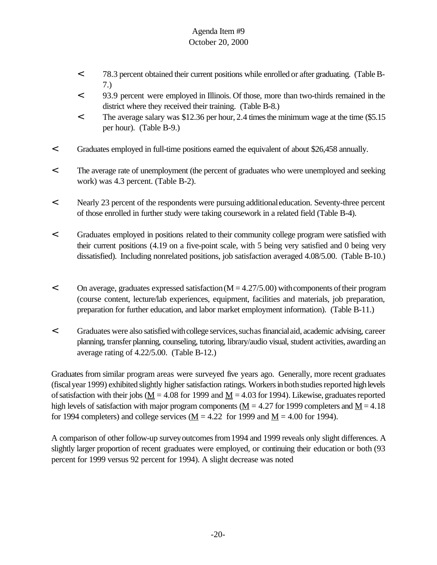- < 78.3 percent obtained their current positions while enrolled or after graduating. (Table B-7.)
- < 93.9 percent were employed in Illinois. Of those, more than two-thirds remained in the district where they received their training. (Table B-8.)
- < The average salary was \$12.36 per hour, 2.4 timesthe minimum wage at the time (\$5.15 per hour). (Table B-9.)
- < Graduates employed in full-time positions earned the equivalent of about \$26,458 annually.
- < The average rate of unemployment (the percent of graduates who were unemployed and seeking work) was 4.3 percent. (Table B-2).
- < Nearly 23 percent of the respondents were pursuing additionaleducation. Seventy-three percent of those enrolled in further study were taking coursework in a related field (Table B-4).
- < Graduates employed in positions related to their community college program were satisfied with their current positions (4.19 on a five-point scale, with 5 being very satisfied and 0 being very dissatisfied). Including nonrelated positions, job satisfaction averaged 4.08/5.00. (Table B-10.)
- $\leq$  On average, graduates expressed satisfaction (M = 4.27/5.00) with components of their program (course content, lecture/lab experiences, equipment, facilities and materials, job preparation, preparation for further education, and labor market employment information). (Table B-11.)
- < Graduates were also satisfied withcollege services,suchasfinancialaid, academic advising, career planning, transfer planning, counseling, tutoring, library/audio visual, student activities, awarding an average rating of 4.22/5.00. (Table B-12.)

Graduates from similar program areas were surveyed five years ago. Generally, more recent graduates (fiscal year 1999) exhibited slightly higher satisfaction ratings. Workers in both studies reported high levels of satisfaction with their jobs ( $\underline{M} = 4.08$  for 1999 and  $\underline{M} = 4.03$  for 1994). Likewise, graduates reported high levels of satisfaction with major program components ( $M = 4.27$  for 1999 completers and  $M = 4.18$ ) for 1994 completers) and college services ( $M = 4.22$  for 1999 and  $M = 4.00$  for 1994).

A comparison of other follow-up survey outcomes from 1994 and 1999 reveals only slight differences. A slightly larger proportion of recent graduates were employed, or continuing their education or both (93 percent for 1999 versus 92 percent for 1994). A slight decrease was noted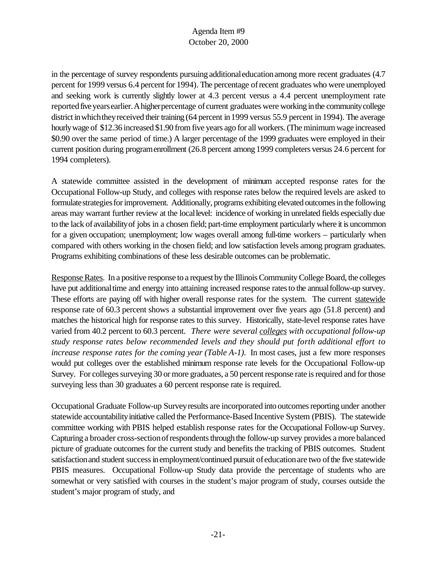in the percentage of survey respondents pursuing additionaleducationamong more recent graduates (4.7 percent for 1999 versus 6.4 percent for 1994). The percentage of recent graduates who were unemployed and seeking work is currently slightly lower at 4.3 percent versus a 4.4 percent unemployment rate reported five years earlier. A higher percentage of current graduates were working in the community college district in which they received their training (64 percent in 1999 versus 55.9 percent in 1994). The average hourlywage of \$12.36 increased \$1.90 from five years ago for all workers. (The minimum wage increased \$0.90 over the same period of time.) A larger percentage of the 1999 graduates were employed in their current position during programenrollment (26.8 percent among 1999 completers versus 24.6 percent for 1994 completers).

A statewide committee assisted in the development of minimum accepted response rates for the Occupational Follow-up Study, and colleges with response rates below the required levels are asked to formulate strategies for improvement. Additionally, programs exhibiting elevated outcomes in the following areas may warrant further review at the locallevel: incidence of working in unrelated fields especially due to the lack of availabilityof jobs in a chosen field; part-time employment particularly where it is uncommon for a given occupation; unemployment; low wages overall among full-time workers – particularly when compared with others working in the chosen field; and low satisfaction levels among program graduates. Programs exhibiting combinations of these less desirable outcomes can be problematic.

Response Rates. In a positive response to a request by the Illinois Community College Board, the colleges have put additional time and energy into attaining increased response rates to the annual follow-up survey. These efforts are paying off with higher overall response rates for the system. The current statewide response rate of 60.3 percent shows a substantial improvement over five years ago (51.8 percent) and matches the historical high for response rates to this survey. Historically, state-level response rates have varied from 40.2 percent to 60.3 percent. *There were several colleges with occupational follow-up study response rates below recommended levels and they should put forth additional effort to increase response rates for the coming year (Table A-1).* In most cases, just a few more responses would put colleges over the established minimum response rate levels for the Occupational Follow-up Survey. For colleges surveying 30 or more graduates, a 50 percent response rate is required and for those surveying less than 30 graduates a 60 percent response rate is required.

Occupational Graduate Follow-up Survey results are incorporated into outcomes reporting under another statewide accountabilityinitiative called the Performance-Based Incentive System (PBIS). The statewide committee working with PBIS helped establish response rates for the Occupational Follow-up Survey. Capturing a broader cross-section of respondents through the follow-up survey provides a more balanced picture of graduate outcomes for the current study and benefits the tracking of PBIS outcomes. Student satisfactionand student successinemployment/continued pursuit of educationare two ofthe five statewide PBIS measures. Occupational Follow-up Study data provide the percentage of students who are somewhat or very satisfied with courses in the student's major program of study, courses outside the student's major program of study, and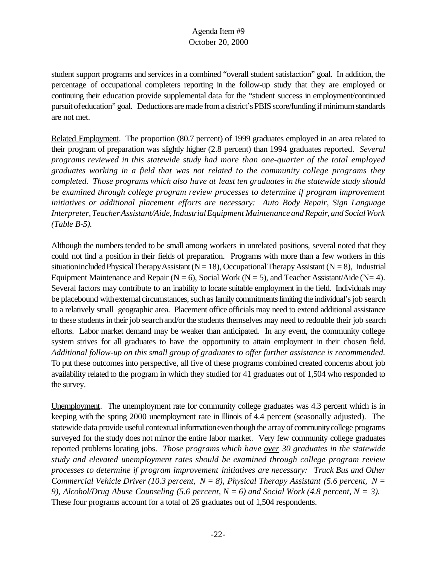student support programs and services in a combined "overall student satisfaction" goal. In addition, the percentage of occupational completers reporting in the follow-up study that they are employed or continuing their education provide supplemental data for the "student success in employment/continued pursuit ofeducation" goal. Deductions are made from a district's PBIS score/funding if minimum standards are not met.

Related Employment. The proportion (80.7 percent) of 1999 graduates employed in an area related to their program of preparation was slightly higher (2.8 percent) than 1994 graduates reported. *Several programs reviewed in this statewide study had more than one-quarter of the total employed graduates working in a field that was not related to the community college programs they completed. Those programs which also have at least ten graduates in the statewide study should be examined through college program review processes to determine if program improvement initiatives or additional placement efforts are necessary: Auto Body Repair, Sign Language Interpreter,TeacherAssistant/Aide,IndustrialEquipment MaintenanceandRepair,andSocialWork (Table B-5).* 

Although the numbers tended to be small among workers in unrelated positions, several noted that they could not find a position in their fields of preparation. Programs with more than a few workers in this situationincluded Physical Therapy Assistant ( $N = 18$ ), Occupational Therapy Assistant ( $N = 8$ ), Industrial Equipment Maintenance and Repair ( $N = 6$ ), Social Work ( $N = 5$ ), and Teacher Assistant/Aide ( $N = 4$ ). Several factors may contribute to an inability to locate suitable employment in the field. Individuals may be placebound with external circumstances, such as family commitments limiting the individual's job search to a relatively small geographic area. Placement office officials may need to extend additional assistance to these students in their job search and/or the students themselves may need to redouble their job search efforts. Labor market demand may be weaker than anticipated. In any event, the community college system strives for all graduates to have the opportunity to attain employment in their chosen field. Additional follow-up on this small group of graduates to offer further assistance is recommended. To put these outcomes into perspective, all five of these programs combined created concerns about job availability related to the program in which they studied for 41 graduates out of 1,504 who responded to the survey.

Unemployment. The unemployment rate for community college graduates was 4.3 percent which is in keeping with the spring 2000 unemployment rate in Illinois of 4.4 percent (seasonally adjusted). The statewide data provide useful contextual information even though the array of community college programs surveyed for the study does not mirror the entire labor market. Very few community college graduates reported problems locating jobs. *Those programs which have over 30 graduates in the statewide study and elevated unemployment rates should be examined through college program review processes to determine if program improvement initiatives are necessary: Truck Bus and Other Commercial Vehicle Driver (10.3 percent, N = 8), Physical Therapy Assistant (5.6 percent, N = 9), Alcohol/Drug Abuse Counseling (5.6 percent, N = 6) and Social Work (4.8 percent, N = 3).* These four programs account for a total of 26 graduates out of 1,504 respondents.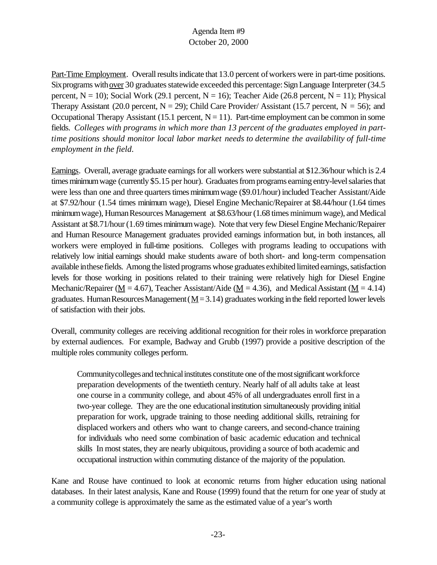Part-Time Employment. Overall results indicate that 13.0 percent of workers were in part-time positions. Six programs with <u>over</u> 30 graduates statewide exceeded this percentage: Sign Language Interpreter (34.5) percent,  $N = 10$ ); Social Work (29.1 percent,  $N = 16$ ); Teacher Aide (26.8 percent,  $N = 11$ ); Physical Therapy Assistant (20.0 percent,  $N = 29$ ); Child Care Provider/ Assistant (15.7 percent,  $N = 56$ ); and Occupational Therapy Assistant (15.1 percent,  $N = 11$ ). Part-time employment can be common in some fields. *Colleges with programs in which more than 13 percent of the graduates employed in parttime positions should monitor local labor market needs to determine the availability of full-time employment in the field*.

Earnings. Overall, average graduate earnings for all workers were substantial at \$12.36/hour which is 2.4 times minimum wage (currently \$5.15 per hour). Graduates from programs earning entry-level salaries that were less than one and three quarters times minimum wage (\$9.01/hour) included Teacher Assistant/Aide at \$7.92/hour (1.54 times minimum wage), Diesel Engine Mechanic/Repairer at \$8.44/hour (1.64 times minimumwage), HumanResources Management at \$8.63/hour (1.68 times minimum wage), and Medical Assistant at \$8.71/hour (1.69 times minimum wage). Note that very few Diesel Engine Mechanic/Repairer and Human Resource Management graduates provided earnings information but, in both instances, all workers were employed in full-time positions. Colleges with programs leading to occupations with relatively low initial earnings should make students aware of both short- and long-term compensation available inthesefields. Among the listed programs whose graduates exhibited limited earnings, satisfaction levels for those working in positions related to their training were relatively high for Diesel Engine Mechanic/Repairer ( $\underline{M} = 4.67$ ), Teacher Assistant/Aide ( $\underline{M} = 4.36$ ), and Medical Assistant ( $\underline{M} = 4.14$ ) graduates. Human Resources Management ( $M=3.14$ ) graduates working in the field reported lower levels of satisfaction with their jobs.

Overall, community colleges are receiving additional recognition for their roles in workforce preparation by external audiences. For example, Badway and Grubb (1997) provide a positive description of the multiple roles community colleges perform.

Community colleges and technical institutes constitute one of the most significant workforce preparation developments of the twentieth century. Nearly half of all adults take at least one course in a community college, and about 45% of all undergraduates enroll first in a two-year college. They are the one educationalinstitution simultaneously providing initial preparation for work, upgrade training to those needing additional skills, retraining for displaced workers and others who want to change careers, and second-chance training for individuals who need some combination of basic academic education and technical skills In most states, they are nearly ubiquitous, providing a source of both academic and occupational instruction within commuting distance of the majority of the population.

Kane and Rouse have continued to look at economic returns from higher education using national databases. In their latest analysis, Kane and Rouse (1999) found that the return for one year of study at a community college is approximately the same as the estimated value of a year's worth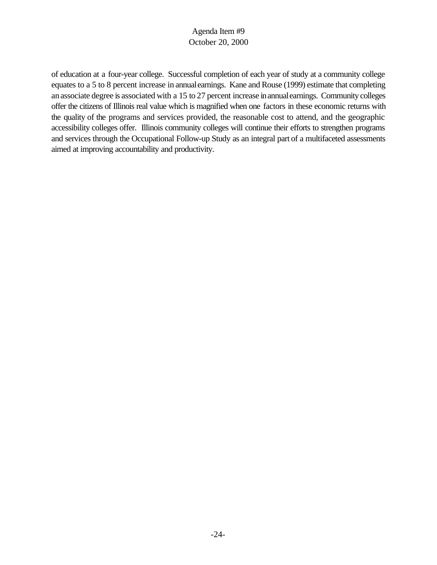of education at a four-year college. Successful completion of each year of study at a community college equates to a 5 to 8 percent increase in annualearnings. Kane and Rouse (1999) estimate that completing anassociate degree is associated with a 15 to 27 percent increase inannualearnings. Community colleges offer the citizens of Illinois real value which is magnified when one factors in these economic returns with the quality of the programs and services provided, the reasonable cost to attend, and the geographic accessibility colleges offer. Illinois community colleges will continue their efforts to strengthen programs and services through the Occupational Follow-up Study as an integral part of a multifaceted assessments aimed at improving accountability and productivity.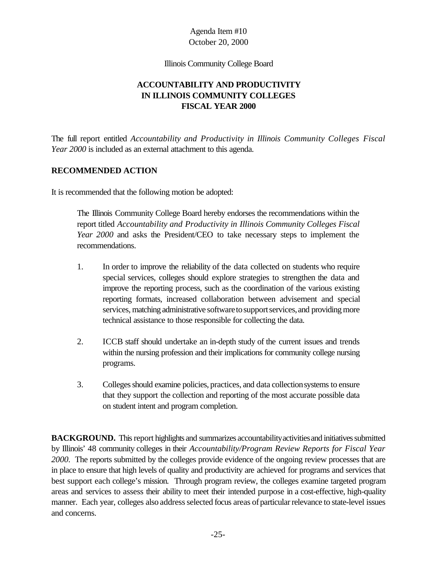Illinois Community College Board

# **ACCOUNTABILITY AND PRODUCTIVITY IN ILLINOIS COMMUNITY COLLEGES FISCAL YEAR 2000**

The full report entitled *Accountability and Productivity in Illinois Community Colleges Fiscal Year 2000* is included as an external attachment to this agenda.

## **RECOMMENDED ACTION**

It is recommended that the following motion be adopted:

The Illinois Community College Board hereby endorses the recommendations within the report titled *Accountability and Productivity in Illinois Community Colleges Fiscal Year 2000* and asks the President/CEO to take necessary steps to implement the recommendations.

- 1. In order to improve the reliability of the data collected on students who require special services, colleges should explore strategies to strengthen the data and improve the reporting process, such as the coordination of the various existing reporting formats, increased collaboration between advisement and special services, matching administrative software to support services, and providing more technical assistance to those responsible for collecting the data.
- 2. ICCB staff should undertake an in-depth study of the current issues and trends within the nursing profession and their implications for community college nursing programs.
- 3. Colleges should examine policies, practices, and data collection systems to ensure that they support the collection and reporting of the most accurate possible data on student intent and program completion.

**BACKGROUND.** This report highlights and summarizes accountability activities and initiatives submitted by Illinois' 48 community colleges in their *Accountability/Program Review Reports for Fiscal Year 2000.* The reports submitted by the colleges provide evidence of the ongoing review processes that are in place to ensure that high levels of quality and productivity are achieved for programs and services that best support each college's mission. Through program review, the colleges examine targeted program areas and services to assess their ability to meet their intended purpose in a cost-effective, high-quality manner. Each year, colleges also address selected focus areas of particular relevance to state-level issues and concerns.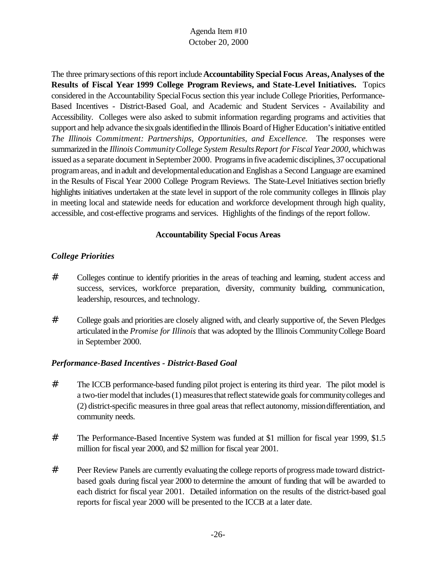The three primarysections ofthisreport include**Accountability Special Focus Areas,Analyses of the Results of Fiscal Year 1999 College Program Reviews, and State-Level Initiatives.** Topics considered in the Accountability SpecialFocus section this year include College Priorities, Performance-Based Incentives - District-Based Goal, and Academic and Student Services - Availability and Accessibility. Colleges were also asked to submit information regarding programs and activities that support and help advance the six goals identified in the Illinois Board of Higher Education's initiative entitled *The Illinois Commitment: Partnerships, Opportunities, and Excellence.* The responses were summarized in the *Illinois CommunityCollege System ResultsReport for Fiscal Year 2000,* whichwas issued as a separate document inSeptember 2000. Programs in five academic disciplines, 37 occupational programareas, and inadult and developmentaleducationand Englishas a Second Language are examined in the Results of Fiscal Year 2000 College Program Reviews. The State-Level Initiatives section briefly highlights initiatives undertaken at the state level in support of the role community colleges in Illinois play in meeting local and statewide needs for education and workforce development through high quality, accessible, and cost-effective programs and services. Highlights of the findings of the report follow.

## **Accountability Special Focus Areas**

## *College Priorities*

- # Colleges continue to identify priorities in the areas of teaching and learning, student access and success, services, workforce preparation, diversity, community building, communication, leadership, resources, and technology.
- # College goals and priorities are closely aligned with, and clearly supportive of, the Seven Pledges articulated inthe *Promise for Illinois* that was adopted by the Illinois CommunityCollege Board in September 2000.

#### *Performance-Based Incentives - District-Based Goal*

- # The ICCB performance-based funding pilot project is entering its third year. The pilot model is a two-tier model that includes (1) measures that reflect statewide goals for community colleges and (2) district-specific measuresin three goal areas that reflect autonomy, missiondifferentiation, and community needs.
- # The Performance-Based Incentive System was funded at \$1 million for fiscal year 1999, \$1.5 million for fiscal year 2000, and \$2 million for fiscal year 2001.
- # Peer Review Panels are currently evaluating the college reports of progress made toward districtbased goals during fiscal year 2000 to determine the amount of funding that will be awarded to each district for fiscal year 2001. Detailed information on the results of the district-based goal reports for fiscal year 2000 will be presented to the ICCB at a later date.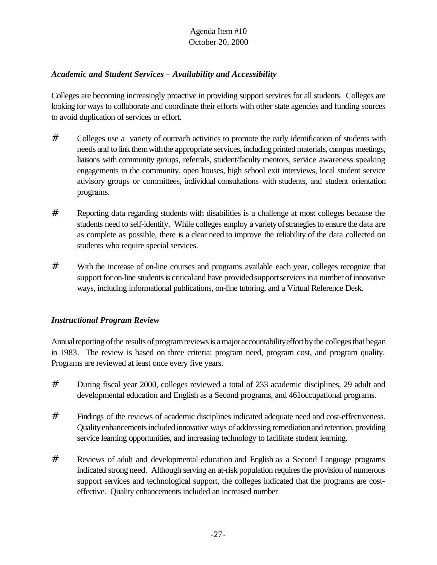# *Academic and Student Services – Availability and Accessibility*

Colleges are becoming increasingly proactive in providing support services for all students. Colleges are looking for ways to collaborate and coordinate their efforts with other state agencies and funding sources to avoid duplication of services or effort.

- # Colleges use a variety of outreach activities to promote the early identification of students with needs and to link them with the appropriate services, including printed materials, campus meetings, liaisons with community groups, referrals, student/faculty mentors, service awareness speaking engagements in the community, open houses, high school exit interviews, local student service advisory groups or committees, individual consultations with students, and student orientation programs.
- # Reporting data regarding students with disabilities is a challenge at most colleges because the students need to self-identify. While colleges employ a variety of strategies to ensure the data are as complete as possible, there is a clear need to improve the reliability of the data collected on students who require special services.
- # With the increase of on-line courses and programs available each year, colleges recognize that support for on-line students is critical and have provided support services in a number of innovative ways, including informational publications, on-line tutoring, and a Virtual Reference Desk.

## *Instructional Program Review*

Annual reporting of the results of program reviews is a major accountability effort by the colleges that began in 1983. The review is based on three criteria: program need, program cost, and program quality. Programs are reviewed at least once every five years.

- # During fiscal year 2000, colleges reviewed a total of 233 academic disciplines, 29 adult and developmental education and English as a Second programs, and 461occupational programs.
- # Findings of the reviews of academic disciplines indicated adequate need and cost-effectiveness. Quality enhancements included innovative ways of addressing remediation and retention, providing service learning opportunities, and increasing technology to facilitate student learning.
- # Reviews of adult and developmental education and English as a Second Language programs indicated strong need. Although serving an at-risk population requires the provision of numerous support services and technological support, the colleges indicated that the programs are costeffective. Quality enhancements included an increased number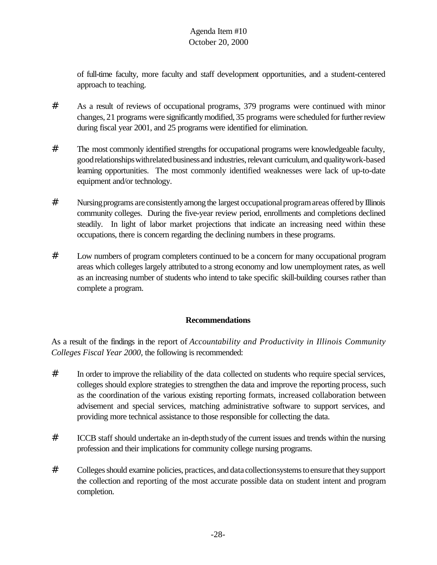of full-time faculty, more faculty and staff development opportunities, and a student-centered approach to teaching.

- # As a result of reviews of occupational programs, 379 programs were continued with minor changes, 21 programs were significantly modified, 35 programs were scheduled for further review during fiscal year 2001, and 25 programs were identified for elimination.
- # The most commonly identified strengths for occupational programs were knowledgeable faculty, good relationships with related business and industries, relevant curriculum, and quality work-based learning opportunities. The most commonly identified weaknesses were lack of up-to-date equipment and/or technology.
- # Nursing programs are consistently among the largest occupational program areas offered by Illinois community colleges. During the five-year review period, enrollments and completions declined steadily. In light of labor market projections that indicate an increasing need within these occupations, there is concern regarding the declining numbers in these programs.
- # Low numbers of program completers continued to be a concern for many occupational program areas which colleges largely attributed to a strong economy and low unemployment rates, as well as an increasing number of students who intend to take specific skill-building courses rather than complete a program.

# **Recommendations**

As a result of the findings in the report of *Accountability and Productivity in Illinois Community Colleges Fiscal Year 2000,* the following is recommended:

- # In order to improve the reliability of the data collected on students who require special services, colleges should explore strategies to strengthen the data and improve the reporting process, such as the coordination of the various existing reporting formats, increased collaboration between advisement and special services, matching administrative software to support services, and providing more technical assistance to those responsible for collecting the data.
- # ICCB staff should undertake an in-depthstudyof the current issues and trends within the nursing profession and their implications for community college nursing programs.
- # Colleges should examine policies, practices, and data collectionsystems to ensure that they support the collection and reporting of the most accurate possible data on student intent and program completion.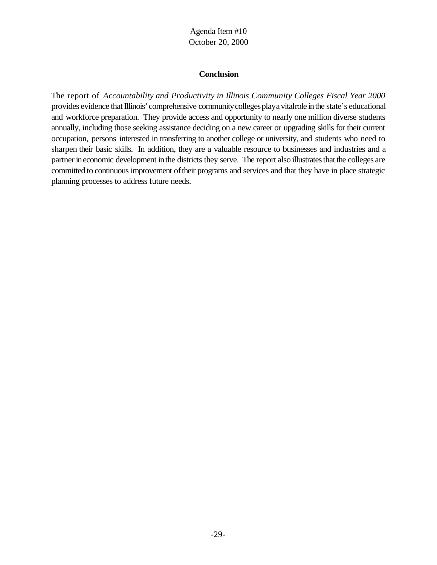#### **Conclusion**

The report of *Accountability and Productivity in Illinois Community Colleges Fiscal Year 2000* provides evidence that Illinois' comprehensive community colleges play a vitalrole in the state's educational and workforce preparation. They provide access and opportunity to nearly one million diverse students annually, including those seeking assistance deciding on a new career or upgrading skills for their current occupation, persons interested in transferring to another college or university, and students who need to sharpen their basic skills. In addition, they are a valuable resource to businesses and industries and a partner in economic development in the districts they serve. The report also illustrates that the colleges are committed to continuous improvement of their programs and services and that they have in place strategic planning processes to address future needs.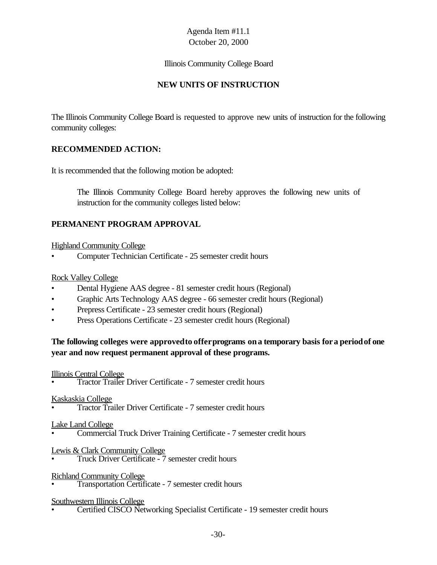#### Illinois Community College Board

# **NEW UNITS OF INSTRUCTION**

The Illinois Community College Board is requested to approve new units of instruction for the following community colleges:

## **RECOMMENDED ACTION:**

It is recommended that the following motion be adopted:

The Illinois Community College Board hereby approves the following new units of instruction for the community colleges listed below:

## **PERMANENT PROGRAM APPROVAL**

#### Highland Community College

• Computer Technician Certificate - 25 semester credit hours

#### Rock Valley College

- Dental Hygiene AAS degree 81 semester credit hours (Regional)
- Graphic Arts Technology AAS degree 66 semester credit hours (Regional)
- Prepress Certificate 23 semester credit hours (Regional)
- Press Operations Certificate 23 semester credit hours (Regional)

## **The following colleges were approvedto offerprograms ona temporary basis fora periodof one year and now request permanent approval of these programs.**

#### Illinois Central College

• Tractor Trailer Driver Certificate - 7 semester credit hours

#### Kaskaskia College

• Tractor Trailer Driver Certificate - 7 semester credit hours

#### Lake Land College

• Commercial Truck Driver Training Certificate - 7 semester credit hours

Lewis & Clark Community College

• Truck Driver Certificate - 7 semester credit hours

#### Richland Community College

• Transportation Certificate - 7 semester credit hours

#### Southwestern Illinois College

• Certified CISCO Networking Specialist Certificate - 19 semester credit hours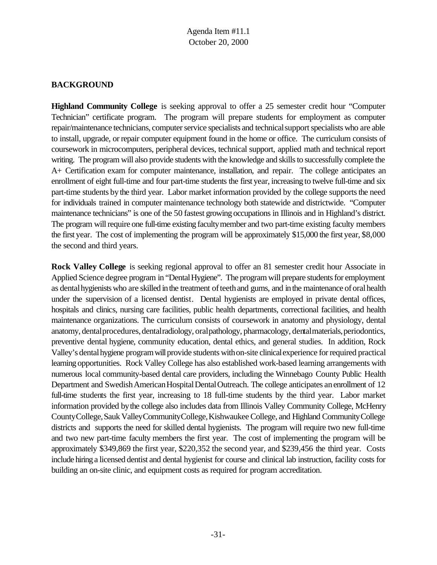## **BACKGROUND**

**Highland Community College** is seeking approval to offer a 25 semester credit hour "Computer Technician" certificate program. The program will prepare students for employment as computer repair/maintenance technicians, computer service specialists and technical support specialists who are able to install, upgrade, or repair computer equipment found in the home or office. The curriculum consists of coursework in microcomputers, peripheral devices, technical support, applied math and technical report writing. The program will also provide students with the knowledge and skills to successfully complete the A+ Certification exam for computer maintenance, installation, and repair. The college anticipates an enrollment of eight full-time and four part-time students the first year, increasing to twelve full-time and six part-time students by the third year. Labor market information provided by the college supports the need for individuals trained in computer maintenance technology both statewide and districtwide. "Computer maintenance technicians" is one of the 50 fastest growing occupations in Illinois and in Highland's district. The program will require one full-time existing faculty member and two part-time existing faculty members the first year. The cost of implementing the program will be approximately \$15,000 the first year, \$8,000 the second and third years.

**Rock Valley College** is seeking regional approval to offer an 81 semester credit hour Associate in Applied Science degree program in "Dental Hygiene". The program will prepare students for employment as dental hygienists who are skilled in the treatment of teeth and gums, and in the maintenance of oral health under the supervision of a licensed dentist. Dental hygienists are employed in private dental offices, hospitals and clinics, nursing care facilities, public health departments, correctional facilities, and health maintenance organizations. The curriculum consists of coursework in anatomy and physiology, dental anatomy, dental procedures, dental radiology, oral pathology, pharmacology, dental materials, periodontics, preventive dental hygiene, community education, dental ethics, and general studies. In addition, Rock Valley's dental hygiene program will provide students with on-site clinical experience for required practical learning opportunities. Rock Valley College has also established work-based learning arrangements with numerous local community-based dental care providers, including the Winnebago County Public Health Department and Swedish American Hospital Dental Outreach. The college anticipates an enrollment of 12 full-time students the first year, increasing to 18 full-time students by the third year. Labor market information provided bythe college also includes data from Illinois Valley Community College, McHenry CountyCollege,Sauk ValleyCommunityCollege,KishwaukeeCollege, and Highland CommunityCollege districts and supports the need for skilled dental hygienists. The program will require two new full-time and two new part-time faculty members the first year. The cost of implementing the program will be approximately \$349,869 the first year, \$220,352 the second year, and \$239,456 the third year. Costs include hiringa licensed dentist and dental hygienist for course and clinical lab instruction, facility costs for building an on-site clinic, and equipment costs as required for program accreditation.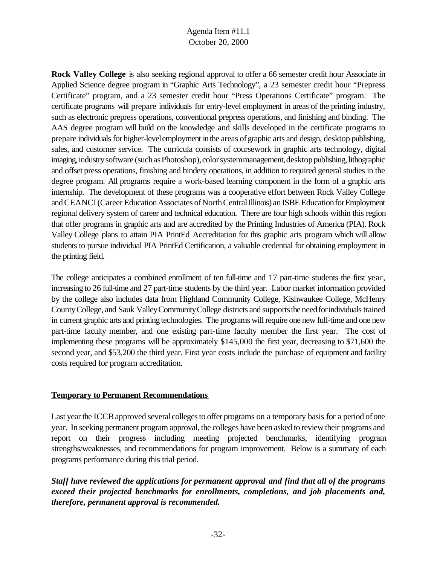**Rock Valley College** is also seeking regional approval to offer a 66 semester credit hour Associate in Applied Science degree program in "Graphic Arts Technology", a 23 semester credit hour "Prepress Certificate" program, and a 23 semester credit hour "Press Operations Certificate" program. The certificate programs will prepare individuals for entry-level employment in areas of the printing industry, such as electronic prepress operations, conventional prepress operations, and finishing and binding. The AAS degree program will build on the knowledge and skills developed in the certificate programs to prepare individuals for higher-level employment in the areas of graphic arts and design, desktop publishing, sales, and customer service. The curricula consists of coursework in graphic arts technology, digital imaging, industry software (such as Photoshop), color system management, desktop publishing, lithographic and offset press operations, finishing and bindery operations, in addition to required general studies in the degree program. All programs require a work-based learning component in the form of a graphic arts internship. The development of these programs was a cooperative effort between Rock Valley College and CEANCI (Career Education Associates of North Central Illinois) an ISBE Education for Employment regional delivery system of career and technical education. There are four high schools within this region that offer programs in graphic arts and are accredited by the Printing Industries of America (PIA). Rock Valley College plans to attain PIA PrintEd Accreditation for this graphic arts program which will allow students to pursue individual PIA PrintEd Certification, a valuable credential for obtaining employment in the printing field.

The college anticipates a combined enrollment of ten full-time and 17 part-time students the first year, increasing to 26 full-time and 27 part-time students by the third year. Labor market information provided by the college also includes data from Highland Community College, Kishwaukee College, McHenry County College, and Sauk Valley Community College districts and supports the need for individuals trained in current graphic arts and printing technologies. The programs will require one new full-time and one new part-time faculty member, and one existing part-time faculty member the first year. The cost of implementing these programs will be approximately \$145,000 the first year, decreasing to \$71,600 the second year, and \$53,200 the third year. First year costs include the purchase of equipment and facility costs required for program accreditation.

## **Temporary to Permanent Recommendations**

Last year the ICCB approved several colleges to offer programs on a temporary basis for a period of one year. In seeking permanent program approval, the colleges have been asked to review their programs and report on their progress including meeting projected benchmarks, identifying program strengths/weaknesses, and recommendations for program improvement. Below is a summary of each programs performance during this trial period.

*Staff have reviewed the applications for permanent approval and find that all of the programs exceed their projected benchmarks for enrollments, completions, and job placements and, therefore, permanent approval is recommended.*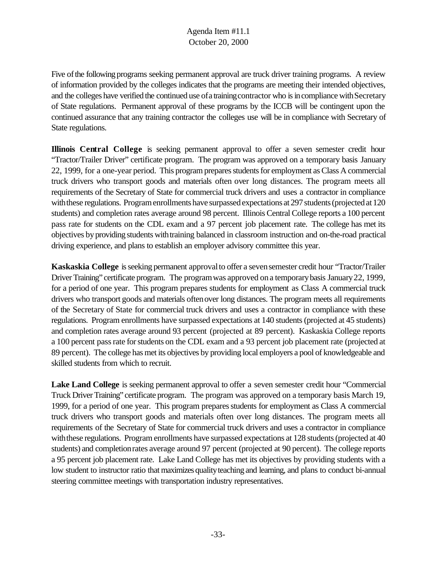Five of the following programs seeking permanent approval are truck driver training programs. A review of information provided by the colleges indicates that the programs are meeting their intended objectives, and the colleges have verified the continued use of a training contractor who is in compliance with Secretary of State regulations. Permanent approval of these programs by the ICCB will be contingent upon the continued assurance that any training contractor the colleges use will be in compliance with Secretary of State regulations.

**Illinois Central College** is seeking permanent approval to offer a seven semester credit hour "Tractor/Trailer Driver" certificate program. The program was approved on a temporary basis January 22, 1999, for a one-year period. This program prepares students for employment as Class A commercial truck drivers who transport goods and materials often over long distances. The program meets all requirements of the Secretary of State for commercial truck drivers and uses a contractor in compliance with these regulations. Program enrollments have surpassed expectations at 297 students (projected at 120 students) and completion rates average around 98 percent. Illinois Central College reports a 100 percent pass rate for students on the CDL exam and a 97 percent job placement rate. The college has met its objectives byproviding students withtraining balanced in classroom instruction and on-the-road practical driving experience, and plans to establish an employer advisory committee this year.

**Kaskaskia College** isseeking permanent approvalto offer a sevensemester credit hour "Tractor/Trailer Driver Training" certificate program. The program was approved on a temporary basis January 22, 1999, for a period of one year. This program prepares students for employment as Class A commercial truck drivers who transport goods and materials oftenover long distances. The program meets all requirements of the Secretary of State for commercial truck drivers and uses a contractor in compliance with these regulations. Program enrollments have surpassed expectations at 140 students (projected at 45 students) and completion rates average around 93 percent (projected at 89 percent). Kaskaskia College reports a 100 percent passrate forstudents on the CDL exam and a 93 percent job placement rate (projected at 89 percent). The college has met its objectives by providing local employers a pool of knowledgeable and skilled students from which to recruit.

**Lake Land College** is seeking permanent approval to offer a seven semester credit hour "Commercial Truck Driver Training" certificate program. The program was approved on a temporary basis March 19, 1999, for a period of one year. This program prepares students for employment as Class A commercial truck drivers who transport goods and materials often over long distances. The program meets all requirements of the Secretary of State for commercial truck drivers and uses a contractor in compliance with these regulations. Program enrollments have surpassed expectations at 128 students (projected at 40 students) and completionrates average around 97 percent (projected at 90 percent). The college reports a 95 percent job placement rate. Lake Land College has met its objectives by providing students with a low student to instructor ratio that maximizes quality teaching and learning, and plans to conduct bi-annual steering committee meetings with transportation industry representatives.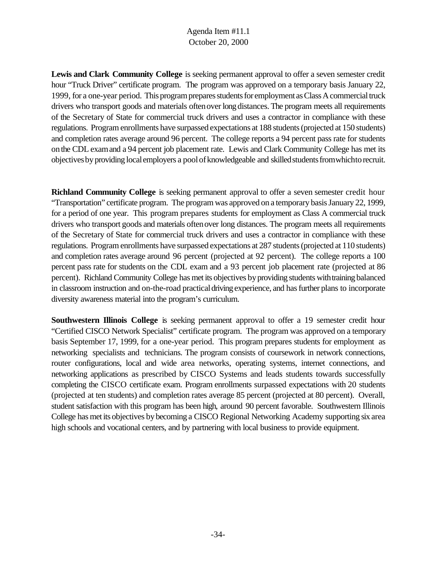**Lewis and Clark Community College** is seeking permanent approval to offer a seven semester credit hour "Truck Driver" certificate program. The program was approved on a temporary basis January 22, 1999, for a one-year period. This program prepares students for employment as Class A commercial truck drivers who transport goods and materials often over long distances. The program meets all requirements of the Secretary of State for commercial truck drivers and uses a contractor in compliance with these regulations. Program enrollments have surpassed expectations at 188 students (projected at 150 students) and completion rates average around 96 percent. The college reports a 94 percent pass rate for students onthe CDL examand a 94 percent job placement rate. Lewis and Clark Community College has met its objectives by providing local employers a pool of knowledgeable and skilled students from which to recruit.

**Richland Community College** is seeking permanent approval to offer a seven semester credit hour "Transportation" certificate program. The program was approved on a temporary basis January 22, 1999, for a period of one year. This program prepares students for employment as Class A commercial truck drivers who transport goods and materials oftenover long distances. The program meets all requirements of the Secretary of State for commercial truck drivers and uses a contractor in compliance with these regulations. Program enrollments have surpassed expectations at 287 students (projected at 110 students) and completion rates average around 96 percent (projected at 92 percent). The college reports a 100 percent pass rate for students on the CDL exam and a 93 percent job placement rate (projected at 86 percent). Richland Community College has met its objectives by providing students with training balanced in classroom instruction and on-the-road practical driving experience, and has further plans to incorporate diversity awareness material into the program's curriculum.

**Southwestern Illinois College** is seeking permanent approval to offer a 19 semester credit hour "Certified CISCO Network Specialist" certificate program. The program was approved on a temporary basis September 17, 1999, for a one-year period. This program prepares students for employment as networking specialists and technicians. The program consists of coursework in network connections, router configurations, local and wide area networks, operating systems, internet connections, and networking applications as prescribed by CISCO Systems and leads students towards successfully completing the CISCO certificate exam. Program enrollments surpassed expectations with 20 students (projected at ten students) and completion rates average 85 percent (projected at 80 percent). Overall, student satisfaction with this program has been high, around 90 percent favorable. Southwestern Illinois College has met its objectives bybecoming a CISCO Regional Networking Academy supporting six area high schools and vocational centers, and by partnering with local business to provide equipment.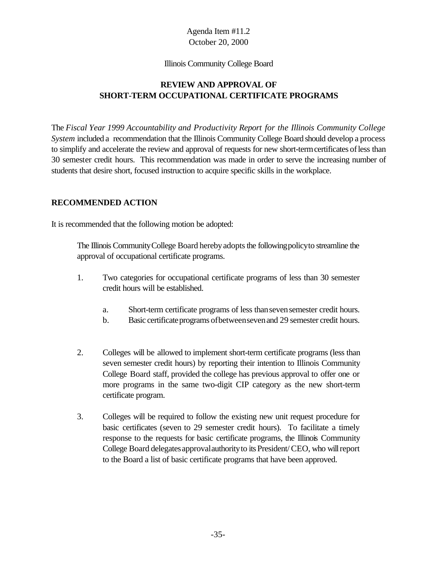#### Illinois Community College Board

# **REVIEW AND APPROVAL OF SHORT-TERM OCCUPATIONAL CERTIFICATE PROGRAMS**

The *Fiscal Year 1999 Accountability and Productivity Report for the Illinois Community College System* included a recommendation that the Illinois Community College Board should develop a process to simplify and accelerate the review and approval of requests for new short-termcertificates ofless than 30 semester credit hours. This recommendation was made in order to serve the increasing number of students that desire short, focused instruction to acquire specific skills in the workplace.

## **RECOMMENDED ACTION**

It is recommended that the following motion be adopted:

The Illinois Community College Board hereby adopts the following policy to streamline the approval of occupational certificate programs.

- 1. Two categories for occupational certificate programs of less than 30 semester credit hours will be established.
	- a. Short-term certificate programs of less thansevensemester credit hours.
	- b. Basic certificate programs of between seven and 29 semester credit hours.
- 2. Colleges will be allowed to implement short-term certificate programs (less than seven semester credit hours) by reporting their intention to Illinois Community College Board staff, provided the college has previous approval to offer one or more programs in the same two-digit CIP category as the new short-term certificate program.
- 3. Colleges will be required to follow the existing new unit request procedure for basic certificates (seven to 29 semester credit hours). To facilitate a timely response to the requests for basic certificate programs, the Illinois Community College Board delegates approval authority to its President/CEO, who will report to the Board a list of basic certificate programs that have been approved.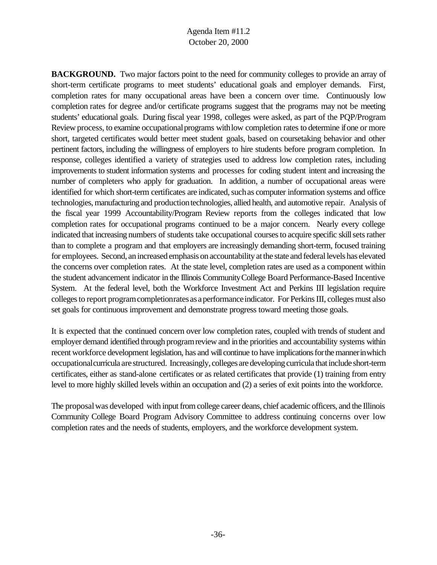**BACKGROUND.** Two major factors point to the need for community colleges to provide an array of short-term certificate programs to meet students' educational goals and employer demands. First, completion rates for many occupational areas have been a concern over time. Continuously low completion rates for degree and/or certificate programs suggest that the programs may not be meeting students' educational goals. During fiscal year 1998, colleges were asked, as part of the PQP/Program Review process, to examine occupational programs with low completion rates to determine if one or more short, targeted certificates would better meet student goals, based on coursetaking behavior and other pertinent factors, including the willingness of employers to hire students before program completion. In response, colleges identified a variety of strategies used to address low completion rates, including improvements to student information systems and processes for coding student intent and increasing the number of completers who apply for graduation. In addition, a number of occupational areas were identified for which short-term certificates are indicated, such as computer information systems and office technologies, manufacturing and production technologies, allied health, and automotive repair. Analysis of the fiscal year 1999 Accountability/Program Review reports from the colleges indicated that low completion rates for occupational programs continued to be a major concern. Nearly every college indicated that increasing numbers of students take occupational courses to acquire specific skill sets rather than to complete a program and that employers are increasingly demanding short-term, focused training for employees. Second, an increased emphasis on accountability at the state and federal levels has elevated the concerns over completion rates. At the state level, completion rates are used as a component within the student advancement indicator in the Illinois CommunityCollege Board Performance-Based Incentive System. At the federal level, both the Workforce Investment Act and Perkins III legislation require colleges to report program completionrates as a performance indicator. For Perkins III, colleges must also set goals for continuous improvement and demonstrate progress toward meeting those goals.

It is expected that the continued concern over low completion rates, coupled with trends of student and employer demand identified through programreview and inthe priorities and accountability systems within recent workforce development legislation, has and will continue to have implications for the manner in which occupationalcurricula are structured. Increasingly, colleges are developing curricula that include short-term certificates, either as stand-alone certificates or as related certificates that provide (1) training from entry level to more highly skilled levels within an occupation and (2) a series of exit points into the workforce.

The proposal was developed with input from college career deans, chief academic officers, and the Illinois Community College Board Program Advisory Committee to address continuing concerns over low completion rates and the needs of students, employers, and the workforce development system.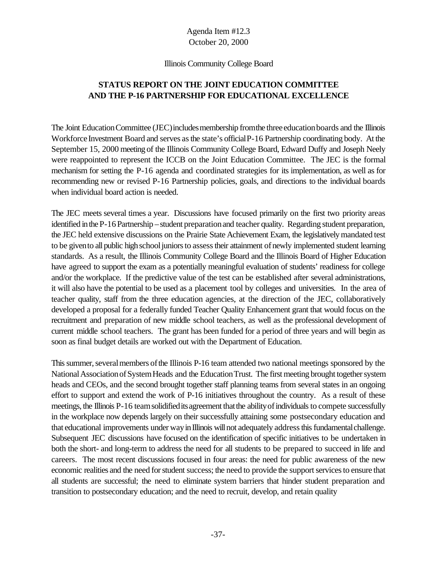#### Illinois Community College Board

# **STATUS REPORT ON THE JOINT EDUCATION COMMITTEE AND THE P-16 PARTNERSHIP FOR EDUCATIONAL EXCELLENCE**

The Joint Education Committee (JEC) includes membership from the three education boards and the Illinois Workforce Investment Board and serves as the state's official P-16 Partnership coordinating body. At the September 15, 2000 meeting of the Illinois Community College Board, Edward Duffy and Joseph Neely were reappointed to represent the ICCB on the Joint Education Committee. The JEC is the formal mechanism for setting the P-16 agenda and coordinated strategies for its implementation, as well as for recommending new or revised P-16 Partnership policies, goals, and directions to the individual boards when individual board action is needed.

The JEC meets several times a year. Discussions have focused primarily on the first two priority areas identified in the P-16 Partnership – student preparation and teacher quality. Regarding student preparation, the JEC held extensive discussions on the Prairie State Achievement Exam, the legislativelymandated test to be given to all public high school juniors to assess their attainment of newly implemented student learning standards. As a result, the Illinois Community College Board and the Illinois Board of Higher Education have agreed to support the exam as a potentially meaningful evaluation of students' readiness for college and/or the workplace. If the predictive value of the test can be established after several administrations, it will also have the potential to be used as a placement tool by colleges and universities. In the area of teacher quality, staff from the three education agencies, at the direction of the JEC, collaboratively developed a proposal for a federally funded Teacher Quality Enhancement grant that would focus on the recruitment and preparation of new middle school teachers, as well as the professional development of current middle school teachers. The grant has been funded for a period of three years and will begin as soon as final budget details are worked out with the Department of Education.

This summer, several members of the Illinois P-16 team attended two national meetings sponsored by the National Association of System Heads and the Education Trust. The first meeting brought together system heads and CEOs, and the second brought together staff planning teams from several states in an ongoing effort to support and extend the work of P-16 initiatives throughout the country. As a result of these meetings, the Illinois P-16 team solidified its agreement that the ability of individuals to compete successfully in the workplace now depends largely on their successfully attaining some postsecondary education and that educational improvements under way in Illinois will not adequately address this fundamental challenge. Subsequent JEC discussions have focused on the identification of specific initiatives to be undertaken in both the short- and long-term to address the need for all students to be prepared to succeed in life and careers. The most recent discussions focused in four areas: the need for public awareness of the new economic realities and the need for student success; the need to provide the support services to ensure that all students are successful; the need to eliminate system barriers that hinder student preparation and transition to postsecondary education; and the need to recruit, develop, and retain quality